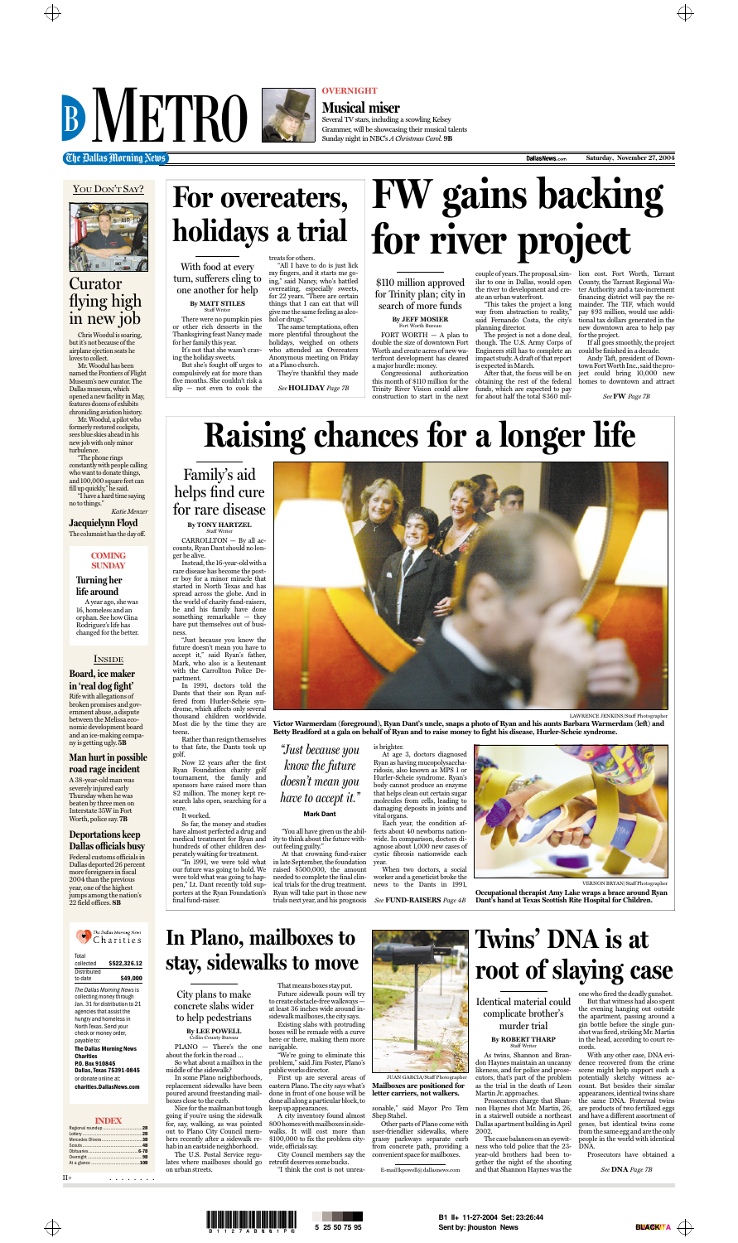



Chris Woodul is soaring, but it's not because of the airplane ejection seats he loves to collect.

Mr. Woodul has been named the Frontiers of Flight Museum's new curator. The Dallas museum, which opened a new facility in May, features dozens of exhibits chronicling aviation history.

Mr. Woodul, a pilot who formerly restored cockpits, sees blue skies ahead in his new job with only minor turbulence.

"The phone rings constantly with people calling who want to donate things, and 100,000 square feet can fill up quickly," he said. "I have a hard time saying

no to things." *Katie Menzer*

**Jacquielynn Floyd**

The columnist has the day off.

### Curator flying high in new job

#### **INDEX**



II+ . . . . . . . .

#### **Board, ice maker in 'real dog fight'**

Rife with allegations of broken promises and government abuse, a dispute between the Melissa economic development board and an ice-making company is getting ugly. **5B**

#### **Man hurt in possible road rage incident**

A 38-year-old man was severely injured early Thursday when he was beaten by three men on Interstate 35W in Fort Worth, police say. **7B**

#### **Deportations keep Dallas officials busy**

Federal customs officials in Dallas deported 26 percent more foreigners in fiscal 2004 than the previous year, one of the highest jumps among the nation's 22 field offices. **8B**





#### **OVERNIGHT**

**Musical miser** Several TV stars, including a scowling Kelsey Grammer, will be showcasing their musical talents Sunday night in NBC's *A Christmas Carol*. **9B**

**Che Dallas Morning News Come Saturday, November 27, 2004** 



#### **COMING SUNDAY**

#### **Turning her life around**

A year ago, she was 16, homeless and an orphan. See how Gina Rodriguez's life has changed for the better.

| Total       |              |
|-------------|--------------|
| collected   | \$522,326.12 |
| Distributed |              |
| to date     | \$49,000     |
|             |              |

*The Dallas Morning News* is collecting money through Jan. 31 for distribution to 21 agencies that assist the hungry and homeless in North Texas. Send your check or money order, payable to: **The Dallas Morning News Charities P.O. Box 910845 Dallas, Texas 75391-0845** or donate online at: **charities.DallasNews.com**

Instead, the 16-year-old with a rare disease has become the poster boy for a minor miracle that started in North Texas and has spread across the globe. And in the world of charity fund-raisers, he and his family have done something remarkable — they have put themselves out of business.

"Just because you know the future doesn't mean you have to accept it," said Ryan's father,



#### **INSIDE**

Mark, who also is a lieutenant with the Carrollton Police Department.

In 1991, doctors told the Dants that their son Ryan suffered from Hurler-Scheie syndrome, which affects only several thousand children worldwide. Most die by the time they are teens.

Rather than resign themselves to that fate, the Dants took up golf.

**By JEFF MOSIER** Fort Worth Burea

Now 12 years after the first Ryan Foundation charity golf tournament, the family and sponsors have raised more than \$2 million. The money kept research labs open, searching for a cure.

It worked.

So far, the money and studies have almost perfected a drug and medical treatment for Ryan and hundreds of other children desperately waiting for treatment.

our future was going to hold. We were told what was going to happen," Lt. Dant recently told supporters at the Ryan Foundation's final fund-raiser.

"You all have given us the ability to think about the future without feeling guilty."

CARROLLTON — By all accounts, Ryan Dant should no longer be alive. Staff Writer

> "In 1991, we were told what in late September, the foundation At that crowning fund-raiser raised \$500,000, the amount needed to complete the final clinical trials for the drug treatment. Ryan will take part in those new trials next year, and his prognosis

is brighter. At age 3, doctors diagnosed Ryan as having mucopolysaccharidosis, also known as MPS 1 or Hurler-Scheie syndrome. Ryan's body cannot produce an enzyme that helps clean out certain sugar molecules from cells, leading to damaging deposits in joints and vital organs.

Each year, the condition affects about 40 newborns nationwide. In comparison, doctors diagnose about 1,000 new cases of cystic fibrosis nationwide each year.

When two doctors, a social worker and a geneticist broke the news to the Dants in 1991,

**Raising chances for a longer life**

LAWRENCE JENKINS/Staff Photographer

**Victor Warmerdam (foreground), Ryan Dant's uncle, snaps a photo of Ryan and his aunts Barbara Warmerdam (left) and Betty Bradford at a gala on behalf of Ryan and to raise money to fight his disease, Hurler-Scheie syndrome.**

> **Occupational therapist Amy Lake wraps a brace around Ryan Dant's hand at Texas Scottish Rite Hospital for Children.**

*"Just because you know the future doesn't mean you have to accept it."* 

#### Mark Dant

Family's aid helps find cure for rare disease **By TONY HARTZEL**

*See* **FUND-RAISERS** *Page 4B*

#### **By ROBERT THARP** Staff Writer



VERNON BRYAN/Staff Photographer

FORT WORTH — A plan to double the size of downtown Fort Worth and create acres of new waterfront development has cleared a major hurdle: money. Congressional authorization

this month of \$110 million for the Trinity River Vision could allow

couple of years. The proposal, similar to one in Dallas, would open the river to development and create an urban waterfront.

"This takes the project a long way from abstraction to reality,<sup>3</sup> said Fernando Costa, the city's planning director.

construction to start in the next for about half the total \$360 mil-After that, the focus will be on obtaining the rest of the federal funds, which are expected to pay

The project is not a done deal, though. The U.S. Army Corps of Engineers still has to complete an impact study. A draft of that report is expected in March.

lion cost. Fort Worth, Tarrant County, the Tarrant Regional Water Authority and a tax-increment financing district will pay the remainder. The TIF, which would pay \$93 million, would use additional tax dollars generated in the new downtown area to help pay for the project.

If all goes smoothly, the project could be finished in a decade.

Andy Taft, president of Downtown Fort Worth Inc., said the project could bring 10,000 new homes to downtown and attract

# **FW gains backing for river project**

\$110 million approved for Trinity plan; city in search of more funds

*See* **FW** *Page 7B*

for her family this year. It's not that she wasn't crav-

ing the holiday sweets. But she's fought off urges to compulsively eat for more than five months. She couldn't risk a slip — not even to cook the

treats for others. "All I have to do is just lick my fingers, and it starts me going," said Nancy, who's battled overeating, especially sweets, for 22 years. "There are certain things that I can eat that will give me the same feeling as alcohol or drugs."

There were no pumpkin pies or other rich desserts in the Thanksgiving feast Nancy made **By MATT STILES** Staff Writer

The same temptations, often more plentiful throughout the holidays, weighed on others who attended an Overeaters Anonymous meeting on Friday at a Plano church.

They're thankful they made

# **For overeaters, holidays a trial**

*See* **HOLIDAY** *Page 7B*

With food at every turn, sufferers cling to

one another for help

PLANO — There's the one about the fork in the road …

So what about a mailbox in the middle of the sidewalk?

In some Plano neighborhoods, replacement sidewalks have been poured around freestanding mailboxes close to the curb.

Nice for the mailman but tough going if you're using the sidewalk for, say, walking, as was pointed out to Plano City Council members recently after a sidewalk rehab in an eastside neighborhood.

The U.S. Postal Service regulates where mailboxes should go on urban streets.

That means boxes stay put. Future sidewalk pours will try to create obstacle-free walkways at least 36 inches wide around insidewalk mailboxes, the city says.

Existing slabs with protruding boxes will be remade with a curve here or there, making them more navigable.

"We're going to eliminate this problem," said Jim Foster, Plano's public works director.

First up are several areas of eastern Plano. The city says what's done in front of one house will be done all along a particular block, to keep up appearances.

A city inventory found almost 800 homes with mailboxes in sidewalks. It will cost more than \$100,000 to fix the problem citywide, officials say.

City Council members say the retrofit deserves some bucks.

"I think the cost is not unrea-

sonable," said Mayor Pro Tem Shep Stahel.

Other parts of Plano come with user-friendlier sidewalks, where grassy parkways separate curb from concrete path, providing a convenient space for mailboxes.

E-mail lkpowell@dallasnews.com

### **In Plano, mailboxes to stay, sidewalks to move**

City plans to make concrete slabs wider to help pedestrians

> **By LEE POWELL** Collin County Bureau

> > **letter carriers, not walkers.**

As twins, Shannon and Brandon Haynes maintain an uncanny likeness, and for police and prosecutors, that's part of the problem as the trial in the death of Leon Martin Jr. approaches.

Prosecutors charge that Shannon Haynes shot Mr. Martin, 26, in a stairwell outside a northeast Dallas apartment building in April 2002.

The case balances on an eyewitness who told police that the 23 year-old brothers had been together the night of the shooting and that Shannon Haynes was the



one who fired the deadly gunshot. But that witness had also spent the evening hanging out outside the apartment, passing around a gin bottle before the single gunshot was fired, striking Mr. Martin in the head, according to court records.

With any other case, DNA evidence recovered from the crime scene might help support such a potentially sketchy witness account. But besides their similar appearances, identical twins share the same DNA. Fraternal twins are products of two fertilized eggs and have a different assortment of genes, but identical twins come from the same egg and are the only people in the world with identical DNA.

Prosecutors have obtained a



*See* **DNA** *Page 7B*